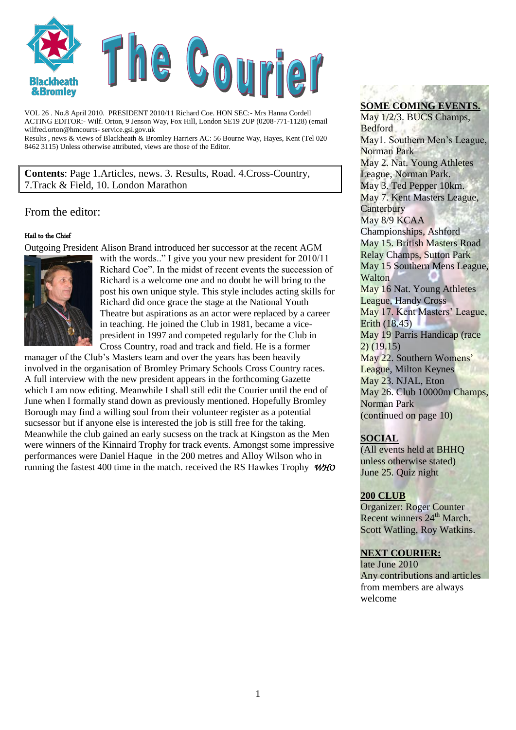

VOL 26 . No.8 April 2010. PRESIDENT 2010/11 Richard Coe. HON SEC:- Mrs Hanna Cordell ACTING EDITOR:- Wilf. Orton, 9 Jenson Way, Fox Hill, London SE19 2UP (0208-771-1128) (email wilfred.orton@hmcourts- service.gsi.gov.uk Results , news & views of Blackheath & Bromley Harriers AC: 56 Bourne Way, Hayes, Kent (Tel 020

8462 3115) Unless otherwise attributed, views are those of the Editor.

**Contents**: Page 1.Articles, news. 3. Results, Road. 4.Cross-Country, 7.Track & Field, 10. London Marathon

#### From the editor:

#### Hail to the Chief

Outgoing President Alison Brand introduced her successor at the recent AGM



with the words.." I give you your new president for 2010/11 Richard Coe". In the midst of recent events the succession of Richard is a welcome one and no doubt he will bring to the post his own unique style. This style includes acting skills for Richard did once grace the stage at the National Youth Theatre but aspirations as an actor were replaced by a career in teaching. He joined the Club in 1981, became a vicepresident in 1997 and competed regularly for the Club in Cross Country, road and track and field. He is a former

manager of the Club's Masters team and over the years has been heavily involved in the organisation of Bromley Primary Schools Cross Country races. A full interview with the new president appears in the forthcoming Gazette which I am now editing. Meanwhile I shall still edit the Courier until the end of June when I formally stand down as previously mentioned. Hopefully Bromley Borough may find a willing soul from their volunteer register as a potential sucsessor but if anyone else is interested the job is still free for the taking. Meanwhile the club gained an early sucsess on the track at Kingston as the Men were winners of the Kinnaird Trophy for track events. Amongst some impressive performances were Daniel Haque in the 200 metres and Alloy Wilson who in running the fastest 400 time in the match. received the RS Hawkes Trophy *WHO*

## **SOME COMING EVENTS.**

May 1/2/3. BUCS Champs, **Bedford** May1. Southern Men's League, Norman Park May 2. Nat. Young Athletes League, Norman Park. May 3. Ted Pepper 10km. May 7. Kent Masters League, **Canterbury** May 8/9 KCAA Championships, Ashford May 15. British Masters Road Relay Champs, Sutton Park May 15 Southern Mens League, **Walton** May 16 Nat. Young Athletes League, Handy Cross May 17. Kent Masters' League, Erith (18.45) May 19. Parris Handicap (race 2) (19.15) May 22. Southern Womens' League, Milton Keynes May 23. NJAL, Eton May 26. Club 10000m Champs, Norman Park (continued on page 10)

#### **SOCIAL**

(All events held at BHHQ unless otherwise stated) June 25. Quiz night

#### **200 CLUB**

Organizer: Roger Counter Recent winners  $24<sup>th</sup>$  March. Scott Watling, Roy Watkins.

#### **NEXT COURIER:**

late June 2010 Any contributions and articles from members are always welcome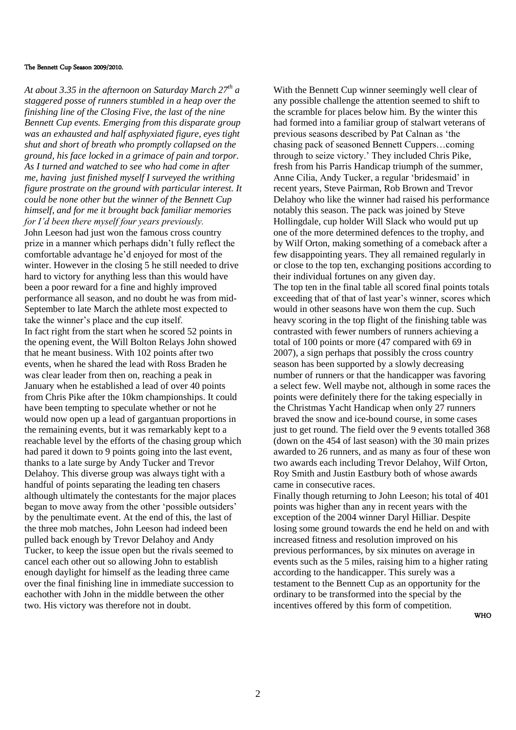#### The Bennett Cup Season 2009/2010.

*At about 3.35 in the afternoon on Saturday March 27th a staggered posse of runners stumbled in a heap over the finishing line of the Closing Five, the last of the nine Bennett Cup events. Emerging from this disparate group was an exhausted and half asphyxiated figure, eyes tight shut and short of breath who promptly collapsed on the ground, his face locked in a grimace of pain and torpor. As I turned and watched to see who had come in after me, having just finished myself I surveyed the writhing figure prostrate on the ground with particular interest. It could be none other but the winner of the Bennett Cup himself, and for me it brought back familiar memories for I'd been there myself four years previously.* John Leeson had just won the famous cross country prize in a manner which perhaps didn't fully reflect the comfortable advantage he'd enjoyed for most of the winter. However in the closing 5 he still needed to drive hard to victory for anything less than this would have been a poor reward for a fine and highly improved performance all season, and no doubt he was from mid-September to late March the athlete most expected to take the winner's place and the cup itself. In fact right from the start when he scored 52 points in the opening event, the Will Bolton Relays John showed that he meant business. With 102 points after two events, when he shared the lead with Ross Braden he was clear leader from then on, reaching a peak in January when he established a lead of over 40 points from Chris Pike after the 10km championships. It could have been tempting to speculate whether or not he would now open up a lead of gargantuan proportions in the remaining events, but it was remarkably kept to a reachable level by the efforts of the chasing group which had pared it down to 9 points going into the last event, thanks to a late surge by Andy Tucker and Trevor Delahoy. This diverse group was always tight with a handful of points separating the leading ten chasers although ultimately the contestants for the major places began to move away from the other 'possible outsiders' by the penultimate event. At the end of this, the last of the three mob matches, John Leeson had indeed been pulled back enough by Trevor Delahoy and Andy Tucker, to keep the issue open but the rivals seemed to cancel each other out so allowing John to establish enough daylight for himself as the leading three came over the final finishing line in immediate succession to eachother with John in the middle between the other two. His victory was therefore not in doubt.

With the Bennett Cup winner seemingly well clear of any possible challenge the attention seemed to shift to the scramble for places below him. By the winter this had formed into a familiar group of stalwart veterans of previous seasons described by Pat Calnan as 'the chasing pack of seasoned Bennett Cuppers…coming through to seize victory.' They included Chris Pike, fresh from his Parris Handicap triumph of the summer, Anne Cilia, Andy Tucker, a regular 'bridesmaid' in recent years, Steve Pairman, Rob Brown and Trevor Delahoy who like the winner had raised his performance notably this season. The pack was joined by Steve Hollingdale, cup holder Will Slack who would put up one of the more determined defences to the trophy, and by Wilf Orton, making something of a comeback after a few disappointing years. They all remained regularly in or close to the top ten, exchanging positions according to their individual fortunes on any given day. The top ten in the final table all scored final points totals exceeding that of that of last year's winner, scores which would in other seasons have won them the cup. Such heavy scoring in the top flight of the finishing table was contrasted with fewer numbers of runners achieving a total of 100 points or more (47 compared with 69 in 2007), a sign perhaps that possibly the cross country season has been supported by a slowly decreasing number of runners or that the handicapper was favoring a select few. Well maybe not, although in some races the points were definitely there for the taking especially in the Christmas Yacht Handicap when only 27 runners braved the snow and ice-bound course, in some cases just to get round. The field over the 9 events totalled 368 (down on the 454 of last season) with the 30 main prizes awarded to 26 runners, and as many as four of these won two awards each including Trevor Delahoy, Wilf Orton, Roy Smith and Justin Eastbury both of whose awards came in consecutive races. Finally though returning to John Leeson; his total of 401

points was higher than any in recent years with the exception of the 2004 winner Daryl Hilliar. Despite losing some ground towards the end he held on and with increased fitness and resolution improved on his previous performances, by six minutes on average in events such as the 5 miles, raising him to a higher rating according to the handicapper. This surely was a testament to the Bennett Cup as an opportunity for the ordinary to be transformed into the special by the incentives offered by this form of competition.

WHO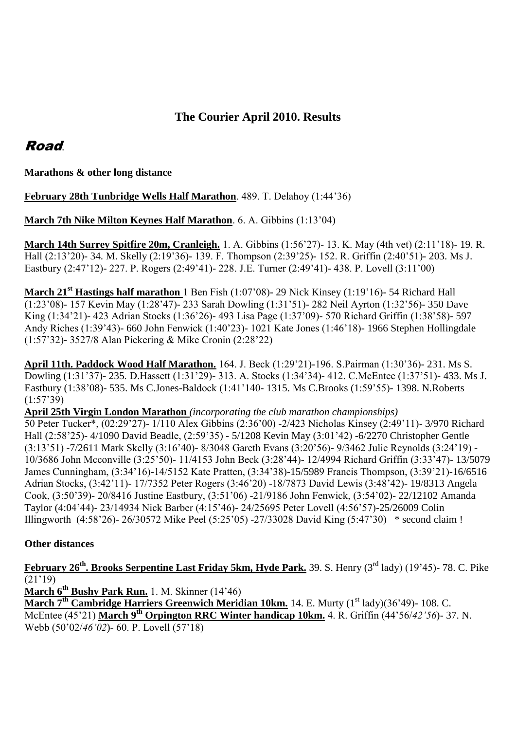## **The Courier April 2010. Results**

## Road.

**Marathons & other long distance**

**February 28th Tunbridge Wells Half Marathon**. 489. T. Delahoy (1:44'36)

**March 7th Nike Milton Keynes Half Marathon**. 6. A. Gibbins (1:13'04)

**March 14th Surrey Spitfire 20m, Cranleigh.** 1. A. Gibbins (1:56'27)- 13. K. May (4th vet) (2:11'18)- 19. R. Hall (2:13'20)- 34. M. Skelly (2:19'36)- 139. F. Thompson (2:39'25)- 152. R. Griffin (2:40'51)- 203. Ms J. Eastbury (2:47'12)- 227. P. Rogers (2:49'41)- 228. J.E. Turner (2:49'41)- 438. P. Lovell (3:11'00)

**March 21st Hastings half marathon** 1 Ben Fish (1:07'08)- 29 Nick Kinsey (1:19'16)- 54 Richard Hall (1:23'08)- 157 Kevin May (1:28'47)- 233 Sarah Dowling (1:31'51)- 282 Neil Ayrton (1:32'56)- 350 Dave King (1:34'21)- 423 Adrian Stocks (1:36'26)- 493 Lisa Page (1:37'09)- 570 Richard Griffin (1:38'58)- 597 Andy Riches (1:39'43)- 660 John Fenwick (1:40'23)- 1021 Kate Jones (1:46'18)- 1966 Stephen Hollingdale (1:57'32)- 3527/8 Alan Pickering & Mike Cronin (2:28'22)

**April 11th. Paddock Wood Half Marathon.** 164. J. Beck (1:29'21)-196. S.Pairman (1:30'36)- 231. Ms S. Dowling (1:31'37)- 235. D.Hassett (1:31'29)- 313. A. Stocks (1:34'34)- 412. C.McEntee (1:37'51)- 433. Ms J. Eastbury (1:38'08)- 535. Ms C.Jones-Baldock (1:41'140- 1315. Ms C.Brooks (1:59'55)- 1398. N.Roberts (1:57'39)

**April 25th Virgin London Marathon** *(incorporating the club marathon championships)* 50 Peter Tucker\*, (02:29'27)- 1/110 Alex Gibbins (2:36'00) -2/423 Nicholas Kinsey (2:49'11)- 3/970 Richard Hall (2:58'25)- 4/1090 David Beadle, (2:59'35) - 5/1208 Kevin May (3:01'42) -6/2270 Christopher Gentle (3:13'51) -7/2611 Mark Skelly (3:16'40)- 8/3048 Gareth Evans (3:20'56)- 9/3462 Julie Reynolds (3:24'19) - 10/3686 John Mcconville (3:25'50)- 11/4153 John Beck (3:28'44)- 12/4994 Richard Griffin (3:33'47)- 13/5079 James Cunningham, (3:34'16)-14/5152 Kate Pratten, (3:34'38)-15/5989 Francis Thompson, (3:39'21)-16/6516 Adrian Stocks, (3:42'11)- 17/7352 Peter Rogers (3:46'20) -18/7873 David Lewis (3:48'42)- 19/8313 Angela Cook, (3:50'39)- 20/8416 Justine Eastbury, (3:51'06) -21/9186 John Fenwick, (3:54'02)- 22/12102 Amanda Taylor (4:04'44)- 23/14934 Nick Barber (4:15'46)- 24/25695 Peter Lovell (4:56'57)-25/26009 Colin Illingworth (4:58'26)- 26/30572 Mike Peel (5:25'05) -27/33028 David King (5:47'30) \* second claim !

### **Other distances**

**February 26th. Brooks Serpentine Last Friday 5km, Hyde Park.** 39. S. Henry (3rd lady) (19'45)- 78. C. Pike  $\sqrt{(21')^{2}/(9)}$ 

**March 6th Bushy Park Run.** 1. M. Skinner (14'46) **March 7<sup>th</sup> Cambridge Harriers Greenwich Meridian 10km.** 14. E. Murty (1<sup>st</sup> lady)(36'49)- 108. C. McEntee (45'21) **March 9th Orpington RRC Winter handicap 10km.** 4. R. Griffin (44'56/*42'56*)- 37. N. Webb (50'02/*46'02*)- 60. P. Lovell (57'18)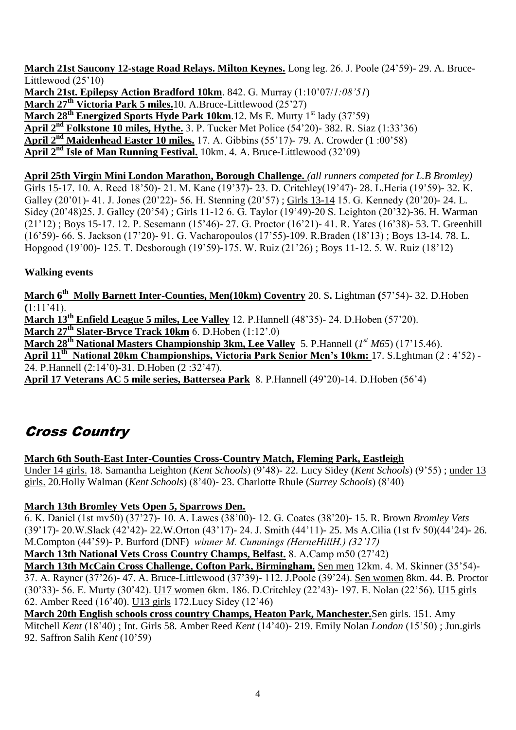**March 21st Saucony 12-stage Road Relays. Milton Keynes.** Long leg. 26. J. Poole (24'59)- 29. A. Bruce-Littlewood (25'10) **March 21st. Epilepsy Action Bradford 10km**. 842. G. Murray (1:10'07/*1:08'51*) **March 27th Victoria Park 5 miles.**10. A.Bruce-Littlewood (25'27) March 28<sup>th</sup> Energized Sports Hyde Park 10km. 12. Ms E. Murty 1<sup>st</sup> lady (37'59) **April 2nd Folkstone 10 miles, Hythe.** 3. P. Tucker Met Police (54'20)- 382. R. Siaz (1:33'36) **April 2nd Maidenhead Easter 10 miles.** 17. A. Gibbins (55'17)- 79. A. Crowder (1 :00'58) **April 2nd Isle of Man Running Festival.** 10km. 4. A. Bruce-Littlewood (32'09)

**April 25th Virgin Mini London Marathon, Borough Challenge.** *(all runners competed for L.B Bromley)* Girls 15-17. 10. A. Reed 18'50)- 21. M. Kane (19'37)- 23. D. Critchley(19'47)- 28. L.Heria (19'59)- 32. K. Galley (20'01)- 41. J. Jones (20'22)- 56. H. Stenning (20'57) ; Girls 13-14 15. G. Kennedy (20'20)- 24. L. Sidey (20'48)25. J. Galley (20'54) ; Girls 11-12 6. G. Taylor (19'49)-20 S. Leighton (20'32)-36. H. Warman (21'12) ; Boys 15-17. 12. P. Sesemann (15'46)- 27. G. Proctor (16'21)- 41. R. Yates (16'38)- 53. T. Greenhill (16'59)- 66. S. Jackson (17'20)- 91. G. Vacharopoulos (17'55)-109. R.Braden (18'13) ; Boys 13-14. 78. L. Hopgood (19'00)- 125. T. Desborough (19'59)-175. W. Ruiz (21'26) ; Boys 11-12. 5. W. Ruiz (18'12)

### **Walking events**

**March 6th Molly Barnett Inter-Counties, Men(10km) Coventry** 20. S**.** Lightman **(**57'54)- 32. D.Hoben **(**1:11'41).

**March 13th Enfield League 5 miles, Lee Valley** 12. P.Hannell (48'35)- 24. D.Hoben (57'20). **March 27th Slater-Bryce Track 10km** 6. D.Hoben (1:12'.0)

**March 28th National Masters Championship 3km, Lee Valley** 5. P.Hannell (*1 st M65*) (17'15.46).

**April 11th National 20km Championships, Victoria Park Senior Men's 10km:** 17. S.Lghtman (2 : 4'52) - 24. P.Hannell (2:14'0)-31. D.Hoben (2 :32'47).

**April 17 Veterans AC 5 mile series, Battersea Park** 8. P.Hannell (49'20)-14. D.Hoben (56'4)

# Cross Country

**March 6th South-East Inter-Counties Cross-Country Match, Fleming Park, Eastleigh**

Under 14 girls. 18. Samantha Leighton (*Kent Schools*) (9'48)- 22. Lucy Sidey (*Kent Schools*) (9'55) ; under 13 girls. 20.Holly Walman (*Kent Schools*) (8'40)- 23. Charlotte Rhule (*Surrey Schools*) (8'40)

### **March 13th Bromley Vets Open 5, Sparrows Den.**

6. K. Daniel (1st mv50) (37'27)- 10. A. Lawes (38'00)- 12. G. Coates (38'20)- 15. R. Brown *Bromley Vets* (39'17)- 20.W.Slack (42'42)- 22.W.Orton (43'17)- 24. J. Smith (44'11)- 25. Ms A.Cilia (1st fv 50)(44'24)- 26. M.Compton (44'59)- P. Burford (DNF) *winner M. Cummings (HerneHillH.) (32'17)*

**March 13th National Vets Cross Country Champs, Belfast.** 8. A.Camp m50 (27'42)

**March 13th McCain Cross Challenge, Cofton Park, Birmingham.** Sen men 12km. 4. M. Skinner (35'54)- 37. A. Rayner (37'26)- 47. A. Bruce-Littlewood (37'39)- 112. J.Poole (39'24). Sen women 8km. 44. B. Proctor (30'33)- 56. E. Murty (30'42). U17 women 6km. 186. D.Critchley (22'43)- 197. E. Nolan (22'56). U15 girls 62. Amber Reed (16'40). U13 girls 172.Lucy Sidey (12'46)

**March 20th English schools cross country Champs, Heaton Park, Manchester.**Sen girls. 151. Amy Mitchell *Kent* (18'40) ; Int. Girls 58. Amber Reed *Kent* (14'40)- 219. Emily Nolan *London* (15'50) ; Jun.girls 92. Saffron Salih *Kent* (10'59)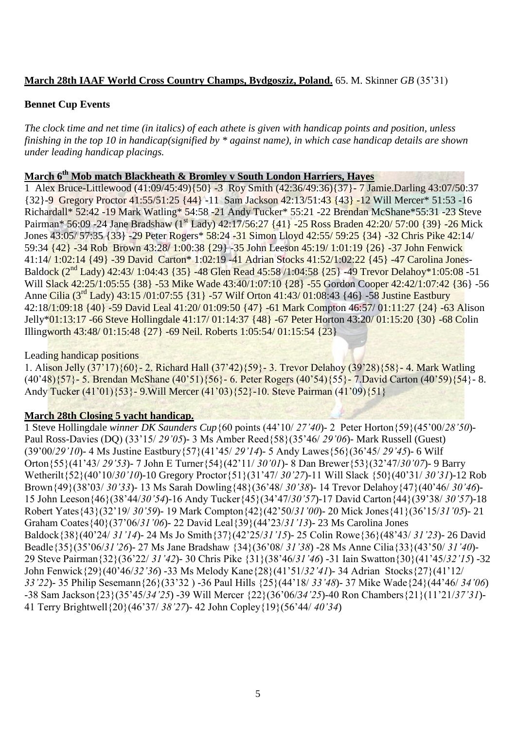#### **March 28th IAAF World Cross Country Champs, Bydgosziz, Poland.** 65. M. Skinner *GB* (35'31)

#### **Bennet Cup Events**

*The clock time and net time (in italics) of each athete is given with handicap points and position, unless finishing in the top 10 in handicap(signified by \* against name), in which case handicap details are shown under leading handicap placings.*

#### **March 6th Mob match Blackheath & Bromley v South London Harriers, Hayes**

1 Alex Bruce-Littlewood (41:09/45:49){50} -3 Roy Smith (42:36/49:36){37}- 7 Jamie.Darling 43:07/50:37 {32}-9 Gregory Proctor 41:55/51:25 {44} -11 Sam Jackson 42:13/51:43 {43} -12 Will Mercer\* 51:53 -16 Richardall\* 52:42 -19 Mark Watling\* 54:58 -21 Andy Tucker\* 55:21 -22 Brendan McShane\*55:31 -23 Steve Pairman\* 56:09 -24 Jane Bradshaw (1<sup>st</sup> Lady) 42:17/56:27 {41} -25 Ross Braden 42:20/ 57:00 {39} -26 Mick Jones 43:05/ 57:35 {33} -29 Peter Rogers\* 58:24 -31 Simon Lloyd 42:55/ 59:25 {34} -32 Chris Pike 42:14/ 59:34 {42} -34 Rob Brown 43:28/ 1:00:38 {29} -35 John Leeson 45:19/ 1:01:19 {26} -37 John Fenwick 41:14/ 1:02:14 {49} -39 David Carton\* 1:02:19 -41 Adrian Stocks 41:52/1:02:22 {45} -47 Carolina Jones-Baldock (2nd Lady) 42:43/ 1:04:43 {35} -48 Glen Read 45:58 /1:04:58 {25} -49 Trevor Delahoy\*1:05:08 -51 Will Slack 42:25/1:05:55 {38} -53 Mike Wade 43:40/1:07:10 {28} -55 Gordon Cooper 42:42/1:07:42 {36} -56 Anne Cilia (3<sup>rd</sup> Lady) 43:15 /01:07:55 {31} -57 Wilf Orton 41:43/ 01:08:43 {46} -58 Justine Eastbury 42:18/1:09:18 {40} -59 David Leal 41:20/ 01:09:50 {47} -61 Mark Compton 46:57/ 01:11:27 {24} -63 Alison Jelly\*01:13:17 -66 Steve Hollingdale 41:17/ 01:14:37 {48} -67 Peter Horton 43:20/ 01:15:20 {30} -68 Colin Illingworth 43:48/ 01:15:48 {27} -69 Neil. Roberts 1:05:54/ 01:15:54 {23}

#### Leading handicap positions

1. Alison Jelly (37'17){60}- 2. Richard Hall (37'42){59}- 3. Trevor Delahoy (39'28){58}- 4. Mark Watling (40'48){57}- 5. Brendan McShane (40'51){56}- 6. Peter Rogers (40'54){55}- 7.David Carton (40'59){54}- 8. Andy Tucker (41'01){53}- 9.Will Mercer (41'03){52}-10. Steve Pairman (41'09){51}

#### **March 28th Closing 5 yacht handicap.**

1 Steve Hollingdale *winner DK Saunders Cup*{60 points (44'10/ *27'40*)- 2 Peter Horton{59}(45'00/*28'50*)- Paul Ross-Davies (DQ) (33'15/ *29'05*)- 3 Ms Amber Reed{58}(35'46/ *29'06*)- Mark Russell (Guest) (39'00/*29'10*)- 4 Ms Justine Eastbury{57}(41'45/ *29'14*)- 5 Andy Lawes{56}(36'45/ *29'45*)- 6 Wilf Orton{55}(41'43/ *29'53*)- 7 John E Turner{54}(42'11/ *30'01*)- 8 Dan Brewer{53}(32'47/*30'07*)- 9 Barry Wetherilt{52}(40'10/*30'10*)-10 Gregory Proctor{51}(31'47/ *30'27*)-11 Will Slack {50}(40'31/ *30'31*)-12 Rob Brown{49}(38'03/ *30'33*)- 13 Ms Sarah Dowling{48}(36'48/ *30'38*)- 14 Trevor Delahoy{47}(40'46/ *30'46*)- 15 John Leeson{46}(38'44/*30'54*)-16 Andy Tucker{45}(34'47/*30'57*)-17 David Carton{44}(39'38/ *30'57*)-18 Robert Yates{43}(32'19/ *30'59*)- 19 Mark Compton{42}(42'50/*31'00*)- 20 Mick Jones{41}(36'15/*31'05*)- 21 Graham Coates{40}(37'06/*31'06*)- 22 David Leal{39}(44'23/*31'13*)- 23 Ms Carolina Jones Baldock{38}(40'24/ *31'14*)- 24 Ms Jo Smith{37}(42'25/*31'15*)- 25 Colin Rowe{36}(48'43/ *31'23*)- 26 David Beadle{35}(35'06/*31'26*)- 27 Ms Jane Bradshaw {34}(36'08/ *31'38*) -28 Ms Anne Cilia{33}(43'50/ *31'40*)- 29 Steve Pairman{32}(36'22/ *31'42*)- 30 Chris Pike {31}(38'46/*31'46*) -31 Iain Swatton{30}(41'45/*32'15*) -32 John Fenwick{29}(40'46/*32'36*) -33 Ms Melody Kane{28}(41'51/*32'41*)- 34 Adrian Stocks{27}(41'12/ *33'22*)- 35 Philip Sesemann{26}(33'32 ) -36 Paul Hills {25}(44'18/ *33'48*)- 37 Mike Wade{24}(44'46/ *34'06*) -38 Sam Jackson{23}(35'45/*34'25*) -39 Will Mercer {22}(36'06/*34'25*)-40 Ron Chambers{21}(11'21/*37'31*)- 41 Terry Brightwell{20}(46'37/ *38'27*)- 42 John Copley{19}(56'44/ *40'34*)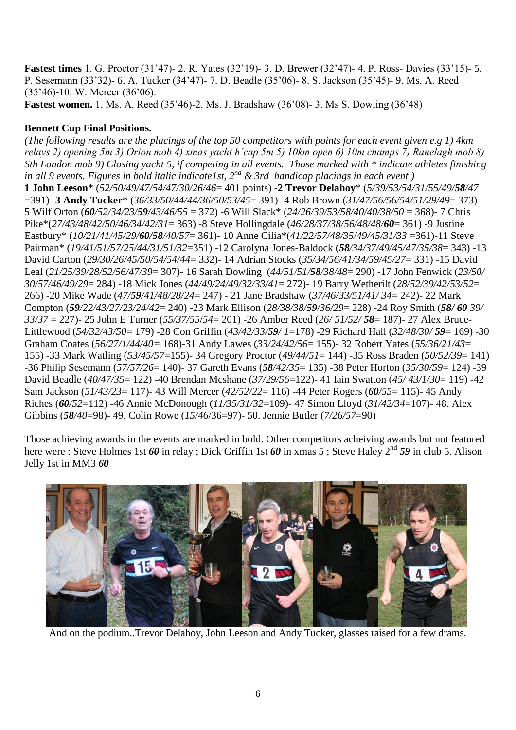**Fastest times** 1. G. Proctor (31'47)- 2. R. Yates (32'19)- 3. D. Brewer (32'47)- 4. P. Ross- Davies (33'15)- 5. P. Sesemann (33'32)- 6. A. Tucker (34'47)- 7. D. Beadle (35'06)- 8. S. Jackson (35'45)- 9. Ms. A. Reed (35'46)-10. W. Mercer (36'06).

**Fastest women.** 1. Ms. A. Reed (35'46)-2. Ms. J. Bradshaw (36'08)- 3. Ms S. Dowling (36'48)

#### **Bennett Cup Final Positions.**

*(The following results are the placings of the top 50 competitors with points for each event given e.g 1) 4km relays 2) opening 5m 3) Orion mob 4) xmas yacht h'cap 5m 5) 10km open 6) 10m champs 7) Ranelagh mob 8) Sth London mob 9) Closing yacht 5, if competing in all events. Those marked with \* indicate athletes finishing in all 9 events. Figures in bold italic indicate1st, 2nd & 3rd handicap placings in each event )* **1 John Leeson**\* (*52/50/49/47/54/47/30/26/46*= 401 points) -**2 Trevor Delahoy**\* (*5/39/53/54/31/55/49/58/47* =391) -**3 Andy Tucker**\* (*36/33/50/44/44/36/50/53/45*= 391)- 4 Rob Brown (*31/47/56/56/54/51/29/49*= 373) – 5 Wilf Orton (*60/52/34/23/59/43/46/55* = 372) -6 Will Slack\* (*24/26/39/53/58/40/40/38/50* = 368)- 7 Chris Pike\*(*27/43/48/42/50/46/34/42/31*= 363) -8 Steve Hollingdale (*46/28/37/38/56/48/48/60*= 361) -9 Justine Eastbury\* (*10/21/41/45/29/60/58/40/57*= 361)- 10 Anne Cilia\*(*41/22/57/48/35/49/45/31/33* =361)-11 Steve Pairman\* (*19/41/51/57/25/44/31/51/32*=351) -12 Carolyna Jones-Baldock (*58/34/37/49/45/47/35/38*= 343) -13 David Carton (*29/30/26/45/50/54/54/44*= 332)- 14 Adrian Stocks (*35/34/56/41/34/59/45/27*= 331) -15 David Leal (*21/25/39/28/52/56/47/39*= 307)- 16 Sarah Dowling (*44/51/51/58/38/48*= 290) -17 John Fenwick (*23/50/ 30/57/46/49/29*= 284) -18 Mick Jones (*44/49/24/49/32/33/41*= 272)- 19 Barry Wetherilt (*28/52/39/42/53/52*= 266) -20 Mike Wade (*47/59/41/48/28/24*= 247) - 21 Jane Bradshaw (*37/46/33/51/41/ 34*= 242)- 22 Mark Compton (*59/22/43/27/23/24/42*= 240) -23 Mark Ellison (*28/38/38/59/36/29*= 228) -24 Roy Smith (*58/ 60 39/ 33/37* = 227)- 25 John E Turner (*55/37/55*/*54*= 201) -26 Amber Reed (*26/ 51/52/ 58*= 187)- 27 Alex Bruce-Littlewood (*54/32/43/50*= 179) -28 Con Griffin (*43/42/33/59/ 1*=178) -29 Richard Hall (*32/48/30/ 59*= 169) -30 Graham Coates (*56/27/1/44/40=* 168)-31 Andy Lawes (*33/24/42/56*= 155)- 32 Robert Yates (*55/36/21/43*= 155) -33 Mark Watling (*53/45/57*=155)- 34 Gregory Proctor (*49/44/51*= 144) -35 Ross Braden (*50/52/39*= 141) -36 Philip Sesemann (*57/57/26*= 140)- 37 Gareth Evans (*58/42/35*= 135) -38 Peter Horton (*35/30/59*= 124) -39 David Beadle (*40/47/35*= 122) -40 Brendan Mcshane (*37/29/56*=122)- 41 Iain Swatton (*45/ 43/1/30*= 119) -42 Sam Jackson (*51/43/23*= 117)- 43 Will Mercer (*42/52/22*= 116) -44 Peter Rogers (*60/55*= 115)- 45 Andy Riches (*60/52*=112) -46 Annie McDonough (*11/35/31/32*=109)- 47 Simon Lloyd (*31/42/34*=107)- 48. Alex Gibbins (*58/40*=98)- 49. Colin Rowe (*15/46*/36=97)- 50. Jennie Butler (*7/26/57*=90)

Those achieving awards in the events are marked in bold. Other competitors acheiving awards but not featured here were : Steve Holmes 1st 60 in relay ; Dick Griffin 1st 60 in xmas 5; Steve Haley 2<sup>nd</sup> 59 in club 5. Alison Jelly 1st in MM3 *60*



And on the podium..Trevor Delahoy, John Leeson and Andy Tucker, glasses raised for a few drams.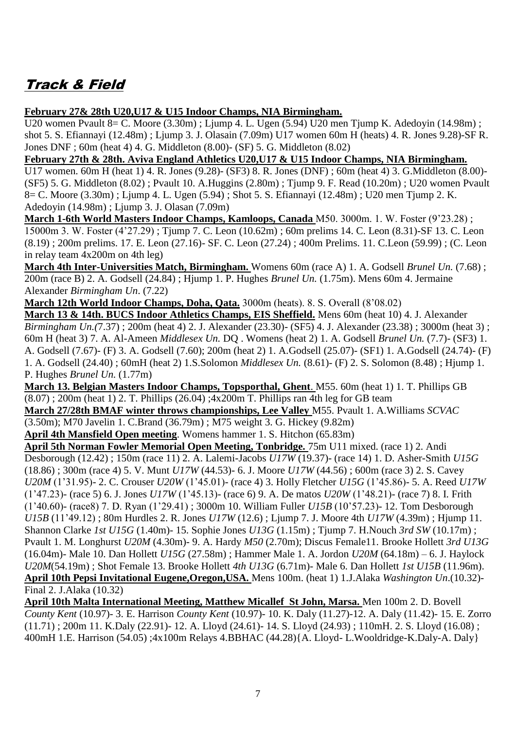# Track & Field

**February 27& 28th U20,U17 & U15 Indoor Champs, NIA Birmingham.**

U20 women Pvault 8= C. Moore (3.30m) ; Ljump 4. L. Ugen (5.94) U20 men Tjump K. Adedoyin (14.98m) ; shot 5. S. Efiannayi (12.48m) ; Ljump 3. J. Olasain (7.09m) U17 women 60m H (heats) 4. R. Jones 9.28)-SF R. Jones DNF ; 60m (heat 4) 4. G. Middleton (8.00)- (SF) 5. G. Middleton (8.02)

**February 27th & 28th. Aviva England Athletics U20,U17 & U15 Indoor Champs, NIA Birmingham.**

U17 women. 60m H (heat 1) 4. R. Jones (9.28)- (SF3) 8. R. Jones (DNF) ; 60m (heat 4) 3. G.Middleton (8.00)- (SF5) 5. G. Middleton (8.02) ; Pvault 10. A.Huggins (2.80m) ; Tjump 9. F. Read (10.20m) ; U20 women Pvault 8= C. Moore (3.30m) ; Ljump 4. L. Ugen (5.94) ; Shot 5. S. Efiannayi (12.48m) ; U20 men Tjump 2. K. Adedoyin (14.98m) ; Ljump 3. J. Olasan (7.09m)

**March 1-6th World Masters Indoor Champs, Kamloops, Canada** M50. 3000m. 1. W. Foster (9'23.28) ; 15000m 3. W. Foster (4'27.29) ; Tjump 7. C. Leon (10.62m) ; 60m prelims 14. C. Leon (8.31)-SF 13. C. Leon (8.19) ; 200m prelims. 17. E. Leon (27.16)- SF. C. Leon (27.24) ; 400m Prelims. 11. C.Leon (59.99) ; (C. Leon in relay team 4x200m on 4th leg)

**March 4th Inter-Universities Match, Birmingham.** Womens 60m (race A) 1. A. Godsell *Brunel Un.* (7.68) ; 200m (race B) 2. A. Godsell (24.84) ; Hjump 1. P. Hughes *Brunel Un.* (1.75m). Mens 60m 4. Jermaine Alexander *Birmingham Un*. (7.22)

**March 12th World Indoor Champs, Doha, Qata.** 3000m (heats). 8. S. Overall (8'08.02)

**March 13 & 14th. BUCS Indoor Athletics Champs, EIS Sheffield.** Mens 60m (heat 10) 4. J. Alexander *Birmingham Un.(*7.37) ; 200m (heat 4) 2. J. Alexander (23.30)- (SF5) 4. J. Alexander (23.38) ; 3000m (heat 3) ; 60m H (heat 3) 7. A. Al-Ameen *Middlesex Un.* DQ . Womens (heat 2) 1. A. Godsell *Brunel Un.* (7.7)- (SF3) 1. A. Godsell (7.67)- (F) 3. A. Godsell (7.60); 200m (heat 2) 1. A.Godsell (25.07)- (SF1) 1. A.Godsell (24.74)- (F) 1. A. Godsell (24.40) ; 60mH (heat 2) 1.S.Solomon *Middlesex Un.* (8.61)- (F) 2. S. Solomon (8.48) ; Hjump 1. P. Hughes *Brunel Un.* (1.77m)

**March 13. Belgian Masters Indoor Champs, Topsporthal, Ghent**. M55. 60m (heat 1) 1. T. Phillips GB (8.07) ; 200m (heat 1) 2. T. Phillips (26.04) ;4x200m T. Phillips ran 4th leg for GB team

**March 27/28th BMAF winter throws championships, Lee Valley** M55. Pvault 1. A.Williams *SCVAC* (3.50m); M70 Javelin 1. C.Brand (36.79m) ; M75 weight 3. G. Hickey (9.82m)

**April 4th Mansfield Open meeting**. Womens hammer 1. S. Hitchon (65.83m)

**April 5th Norman Fowler Memorial Open Meeting, Tonbridge.** 75m U11 mixed. (race 1) 2. Andi Desborough (12.42) ; 150m (race 11) 2. A. Lalemi-Jacobs *U17W* (19.37)- (race 14) 1. D. Asher-Smith *U15G* (18.86) ; 300m (race 4) 5. V. Munt *U17W* (44.53)- 6. J. Moore *U17W* (44.56) ; 600m (race 3) 2. S. Cavey *U20M* (1'31.95)- 2. C. Crouser *U20W* (1'45.01)- (race 4) 3. Holly Fletcher *U15G* (1'45.86)- 5. A. Reed *U17W* (1'47.23)- (race 5) 6. J. Jones *U17W* (1'45.13)- (race 6) 9. A. De matos *U20W* (1'48.21)- (race 7) 8. I. Frith (1'40.60)- (race8) 7. D. Ryan (1'29.41) ; 3000m 10. William Fuller *U15B* (10'57.23)- 12. Tom Desborough *U15B* (11'49.12) ; 80m Hurdles 2. R. Jones *U17W* (12.6) ; Ljump 7. J. Moore 4th *U17W* (4.39m) ; Hjump 11. Shannon Clarke *1st U15G* (1.40m)- 15. Sophie Jones *U13G* (1.15m) ; Tjump 7. H.Nouch *3rd SW* (10.17m) ; Pvault 1. M. Longhurst *U20M* (4.30m)- 9. A. Hardy *M50* (2.70m); Discus Female11. Brooke Hollett *3rd U13G* (16.04m)- Male 10. Dan Hollett *U15G* (27.58m) ; Hammer Male 1. A. Jordon *U20M* (64.18m) – 6. J. Haylock *U20M*(54.19m) ; Shot Female 13. Brooke Hollett *4th U13G* (6.71m)- Male 6. Dan Hollett *1st U15B* (11.96m). **April 10th Pepsi Invitational Eugene,Oregon,USA.** Mens 100m. (heat 1) 1.J.Alaka *Washington Un*.(10.32)- Final 2. J.Alaka (10.32)

**April 10th Malta International Meeting, Matthew Micallef St John, Marsa.** Men 100m 2. D. Bovell *County Kent* (10.97)- 3. E. Harrison *County Kent* (10.97)- 10. K. Daly (11.27)-12. A. Daly (11.42)- 15. E. Zorro (11.71) ; 200m 11. K.Daly (22.91)- 12. A. Lloyd (24.61)- 14. S. Lloyd (24.93) ; 110mH. 2. S. Lloyd (16.08) ; 400mH 1.E. Harrison (54.05) ;4x100m Relays 4.BBHAC (44.28){A. Lloyd- L.Wooldridge-K.Daly-A. Daly}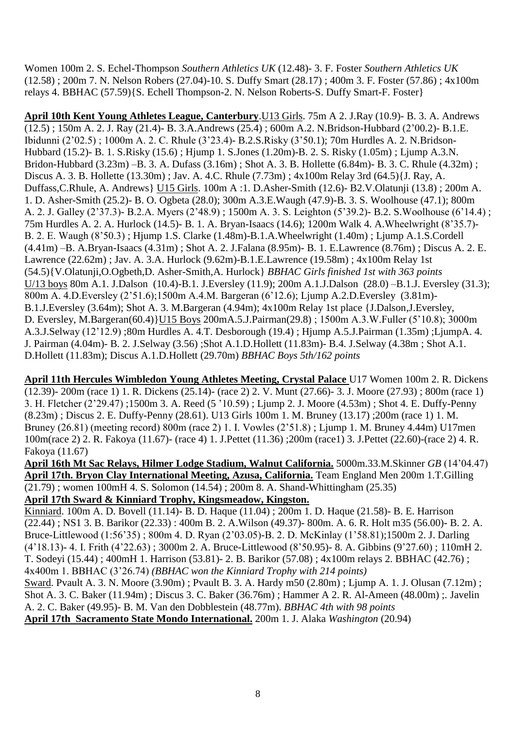Women 100m 2. S. Echel-Thompson *Southern Athletics UK* (12.48)- 3. F. Foster *Southern Athletics UK* (12.58) ; 200m 7. N. Nelson Robers (27.04)-10. S. Duffy Smart (28.17) ; 400m 3. F. Foster (57.86) ; 4x100m relays 4. BBHAC (57.59){S. Echell Thompson-2. N. Nelson Roberts-S. Duffy Smart-F. Foster}

**April 10th Kent Young Athletes League, Canterbury**.U13 Girls. 75m A 2. J.Ray (10.9)- B. 3. A. Andrews (12.5) ; 150m A. 2. J. Ray (21.4)- B. 3.A.Andrews (25.4) ; 600m A.2. N.Bridson-Hubbard (2'00.2)- B.1.E. Ibidunni (2'02.5) ; 1000m A. 2. C. Rhule (3'23.4)- B.2.S.Risky (3'50.1); 70m Hurdles A. 2. N.Bridson-Hubbard (15.2)- B. 1. S.Risky (15.6) ; Hjump 1. S.Jones (1.20m)-B. 2. S. Risky (1.05m) ; Ljump A.3.N. Bridon-Hubbard (3.23m) –B. 3. A. Dufass (3.16m) ; Shot A. 3. B. Hollette (6.84m)- B. 3. C. Rhule (4.32m) ; Discus A. 3. B. Hollette (13.30m) ; Jav. A. 4.C. Rhule (7.73m) ; 4x100m Relay 3rd (64.5){J. Ray, A. Duffass,C.Rhule, A. Andrews} U15 Girls. 100m A :1. D.Asher-Smith (12.6)- B2.V.Olatunji (13.8) ; 200m A. 1. D. Asher-Smith (25.2)- B. O. Ogbeta (28.0); 300m A.3.E.Waugh (47.9)-B. 3. S. Woolhouse (47.1); 800m A. 2. J. Galley (2'37.3)- B.2.A. Myers (2'48.9) ; 1500m A. 3. S. Leighton (5'39.2)- B.2. S.Woolhouse (6'14.4) ; 75m Hurdles A. 2. A. Hurlock (14.5)- B. 1. A. Bryan-Isaacs (14.6); 1200m Walk 4. A.Wheelwright (8'35.7)- B. 2. E. Waugh (8'50.3) ; Hjump 1.S. Clarke (1.48m)-B.1.A.Wheelwright (1.40m) ; Ljump A.1.S.Cordell (4.41m) –B. A.Bryan-Isaacs (4.31m) ; Shot A. 2. J.Falana (8.95m)- B. 1. E.Lawrence (8.76m) ; Discus A. 2. E. Lawrence (22.62m) ; Jav. A. 3.A. Hurlock (9.62m)-B.1.E.Lawrence (19.58m) ; 4x100m Relay 1st (54.5){V.Olatunji,O.Ogbeth,D. Asher-Smith,A. Hurlock} *BBHAC Girls finished 1st with 363 points*  U/13 boys 80m A.1. J.Dalson (10.4)-B.1. J.Eversley (11.9); 200m A.1.J.Dalson (28.0) –B.1.J. Eversley (31.3); 800m A. 4.D.Eversley (2'51.6);1500m A.4.M. Bargeran (6'12.6); Ljump A.2.D.Eversley (3.81m)- B.1.J.Eversley (3.64m); Shot A. 3. M.Bargeran (4.94m); 4x100m Relay 1st place {J.Dalson,J.Eversley, D. Eversley, M.Bargeran(60.4)}U15 Boys 200mA.5.J.Pairman(29.8) ; 1500m A.3.W.Fuller (5'10.8); 3000m A.3.J.Selway (12'12.9) ;80m Hurdles A. 4.T. Desborough (19.4) ; Hjump A.5.J.Pairman (1.35m) ;LjumpA. 4. J. Pairman (4.04m)- B. 2. J.Selway (3.56) ;Shot A.1.D.Hollett (11.83m)- B.4. J.Selway (4.38m ; Shot A.1. D.Hollett (11.83m); Discus A.1.D.Hollett (29.70m) *BBHAC Boys 5th/162 points*

**April 11th Hercules Wimbledon Young Athletes Meeting, Crystal Palace** U17 Women 100m 2. R. Dickens (12.39)- 200m (race 1) 1. R. Dickens (25.14)- (race 2) 2. V. Munt (27.66)- 3. J. Moore (27.93) ; 800m (race 1) 3. H. Fletcher (2'29.47) ;1500m 3. A. Reed (5 '10.59) ; Ljump 2. J. Moore (4.53m) ; Shot 4. E. Duffy-Penny (8.23m) ; Discus 2. E. Duffy-Penny (28.61). U13 Girls 100m 1. M. Bruney (13.17) ;200m (race 1) 1. M. Bruney (26.81) (meeting record) 800m (race 2) 1. I. Vowles (2'51.8) ; Ljump 1. M. Bruney 4.44m) U17men 100m(race 2) 2. R. Fakoya (11.67)- (race 4) 1. J.Pettet (11.36) ;200m (race1) 3. J.Pettet (22.60)-(race 2) 4. R. Fakoya (11.67)

**April 16th Mt Sac Relays, Hilmer Lodge Stadium, Walnut California.** 5000m.33.M.Skinner *GB* (14'04.47) **April 17th. Bryon Clay International Meeting, Azusa, California.** Team England Men 200m 1.T.Gilling (21.79) ; women 100mH 4. S. Solomon (14.54) ; 200m 8. A. Shand-Whittingham (25.35)

### **April 17th Sward & Kinniard Trophy, Kingsmeadow, Kingston.**

Kinniard. 100m A. D. Bovell (11.14)- B. D. Haque (11.04) ; 200m 1. D. Haque (21.58)- B. E. Harrison (22.44) ; NS1 3. B. Barikor (22.33) : 400m B. 2. A.Wilson (49.37)- 800m. A. 6. R. Holt m35 (56.00)- B. 2. A. Bruce-Littlewood (1:56'35) ; 800m 4. D. Ryan (2'03.05)-B. 2. D. McKinlay (1'58.81);1500m 2. J. Darling (4'18.13)- 4. I. Frith (4'22.63) ; 3000m 2. A. Bruce-Littlewood (8'50.95)- 8. A. Gibbins (9'27.60) ; 110mH 2. T. Sodeyi (15.44) ; 400mH 1. Harrison (53.81)- 2. B. Barikor (57.08) ; 4x100m relays 2. BBHAC (42.76) ; 4x400m 1. BBHAC (3'26.74) *(BBHAC won the Kinniard Trophy with 214 points)* Sward. Pvault A. 3. N. Moore (3.90m) ; Pvault B. 3. A. Hardy m50 (2.80m) ; Ljump A. 1. J. Olusan (7.12m) ;

Shot A. 3. C. Baker (11.94m) ; Discus 3. C. Baker (36.76m) ; Hammer A 2. R. Al-Ameen (48.00m) ;. Javelin A. 2. C. Baker (49.95)- B. M. Van den Dobblestein (48.77m). *BBHAC 4th with 98 points*

**April 17th Sacramento State Mondo International.** 200m 1. J. Alaka *Washington* (20.94)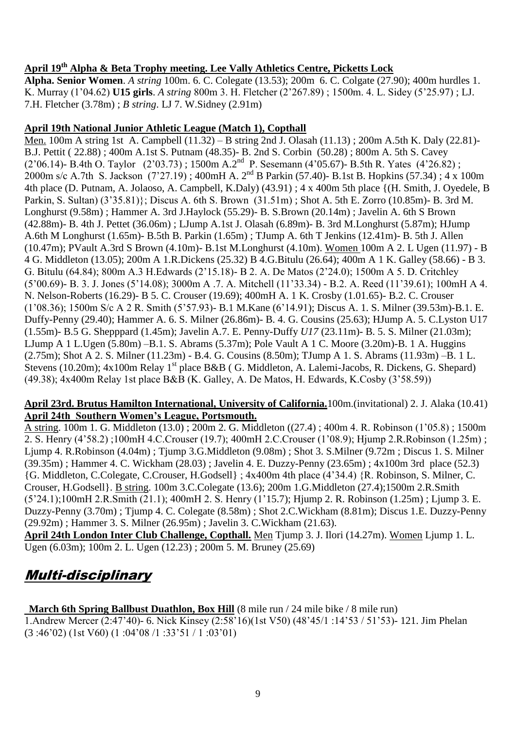## **April 19th Alpha & Beta Trophy meeting. Lee Vally Athletics Centre, Picketts Lock**

**Alpha. Senior Women**. *A string* 100m. 6. C. Colegate (13.53); 200m 6. C. Colgate (27.90); 400m hurdles 1. K. Murray (1'04.62) **U15 girls**. *A string* 800m 3. H. Fletcher (2'267.89) ; 1500m. 4. L. Sidey (5'25.97) ; LJ. 7.H. Fletcher (3.78m) ; *B string*. LJ 7. W.Sidney (2.91m)

#### **April 19th National Junior Athletic League (Match 1), Copthall**

Men. 100m A string 1st A. Campbell (11.32) – B string 2nd J. Olasah (11.13) ; 200m A.5th K. Daly (22.81)- B.J. Pettit ( 22.88) ; 400m A.1st S. Putnam (48.35)- B. 2nd S. Corbin (50.28) ; 800m A. 5th S. Cavey  $(2'06.14)$ - B.4th O. Taylor  $(2'03.73)$ ; 1500m A.2<sup>nd</sup> P. Sesemann (4'05.67)- B.5th R. Yates (4'26.82); 2000m s/c A.7th S. Jackson (7'27.19) ; 400mH A. 2nd B Parkin (57.40)- B.1st B. Hopkins (57.34) ; 4 x 100m 4th place (D. Putnam, A. Jolaoso, A. Campbell, K.Daly) (43.91) ; 4 x 400m 5th place {(H. Smith, J. Oyedele, B Parkin, S. Sultan) (3'35.81)}; Discus A. 6th S. Brown (31.51m) ; Shot A. 5th E. Zorro (10.85m)- B. 3rd M. Longhurst (9.58m) ; Hammer A. 3rd J.Haylock (55.29)- B. S.Brown (20.14m) ; Javelin A. 6th S Brown (42.88m)- B. 4th J. Pettet (36.06m) ; LJump A.1st J. Olasah (6.89m)- B. 3rd M.Longhurst (5.87m); HJump A.6th M Longhurst (1.65m)- B.5th B. Parkin (1.65m) ; TJump A. 6th T Jenkins (12.41m)- B. 5th J. Allen (10.47m); PVault A.3rd S Brown (4.10m)- B.1st M.Longhurst (4.10m). Women 100m A 2. L Ugen (11.97) - B 4 G. Middleton (13.05); 200m A 1.R.Dickens (25.32) B 4.G.Bitulu (26.64); 400m A 1 K. Galley (58.66) - B 3. G. Bitulu (64.84); 800m A.3 H.Edwards (2'15.18)- B 2. A. De Matos (2'24.0); 1500m A 5. D. Critchley (5'00.69)- B. 3. J. Jones (5'14.08); 3000m A .7. A. Mitchell (11'33.34) - B.2. A. Reed (11'39.61); 100mH A 4. N. Nelson-Roberts (16.29)- B 5. C. Crouser (19.69); 400mH A. 1 K. Crosby (1.01.65)- B.2. C. Crouser (1'08.36); 1500m S/c A 2 R. Smith (5'57.93)- B.1 M.Kane (6'14.91); Discus A. 1. S. Milner (39.53m)-B.1. E. Duffy-Penny (29.40); Hammer A. 6. S. Milner (26.86m)- B. 4. G. Cousins (25.63); HJump A. 5. C.Lyston U17 (1.55m)- B.5 G. Shepppard (1.45m); Javelin A.7. E. Penny-Duffy *U17* (23.11m)- B. 5. S. Milner (21.03m); LJump A 1 L.Ugen (5.80m) –B.1. S. Abrams (5.37m); Pole Vault A 1 C. Moore (3.20m)-B. 1 A. Huggins (2.75m); Shot A 2. S. Milner (11.23m) - B.4. G. Cousins (8.50m); TJump A 1. S. Abrams (11.93m) –B. 1 L. Stevens (10.20m); 4x100m Relay 1<sup>st</sup> place B&B ( G. Middleton, A. Lalemi-Jacobs, R. Dickens, G. Shepard) (49.38); 4x400m Relay 1st place B&B (K. Galley, A. De Matos, H. Edwards, K.Cosby (3'58.59))

#### **April 23rd. Brutus Hamilton International, University of California.**100m.(invitational) 2. J. Alaka (10.41) **April 24th Southern Women's League, Portsmouth.**

A string. 100m 1. G. Middleton (13.0) ; 200m 2. G. Middleton ((27.4) ; 400m 4. R. Robinson (1'05.8) ; 1500m 2. S. Henry (4'58.2) ;100mH 4.C.Crouser (19.7); 400mH 2.C.Crouser (1'08.9); Hjump 2.R.Robinson (1.25m) ; Ljump 4. R.Robinson (4.04m) ; Tjump 3.G.Middleton (9.08m) ; Shot 3. S.Milner (9.72m ; Discus 1. S. Milner (39.35m) ; Hammer 4. C. Wickham (28.03) ; Javelin 4. E. Duzzy-Penny (23.65m) ; 4x100m 3rd place (52.3) {G. Middleton, C.Colegate, C.Crouser, H.Godsell} ; 4x400m 4th place (4'34.4) {R. Robinson, S. Milner, C. Crouser, H.Godsell}. B string. 100m 3.C.Colegate (13.6); 200m 1.G.Middleton (27.4);1500m 2.R.Smith (5'24.1);100mH 2.R.Smith (21.1); 400mH 2. S. Henry (1'15.7); Hjump 2. R. Robinson (1.25m) ; Ljump 3. E. Duzzy-Penny (3.70m) ; Tjump 4. C. Colegate (8.58m) ; Shot 2.C.Wickham (8.81m); Discus 1.E. Duzzy-Penny (29.92m) ; Hammer 3. S. Milner (26.95m) ; Javelin 3. C.Wickham (21.63).

**April 24th London Inter Club Challenge, Copthall.** Men Tjump 3. J. Ilori (14.27m). Women Ljump 1. L. Ugen (6.03m); 100m 2. L. Ugen (12.23) ; 200m 5. M. Bruney (25.69)

## Multi-disciplinary

**March 6th Spring Ballbust Duathlon, Box Hill** (8 mile run / 24 mile bike / 8 mile run)

1.Andrew Mercer (2:47'40)- 6. Nick Kinsey (2:58'16)(1st V50) (48'45/1 :14'53 / 51'53)- 121. Jim Phelan (3 :46'02) (1st V60) (1 :04'08 /1 :33'51 / 1 :03'01)